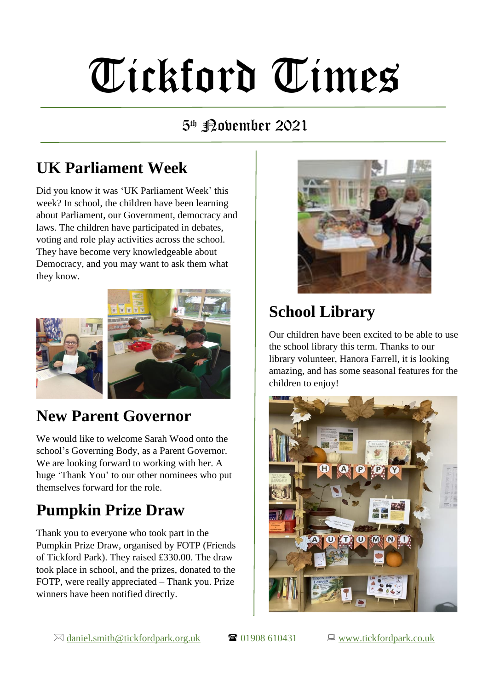# Tickford Times

#### 5th **Povember 2021**

# **UK Parliament Week**

Did you know it was 'UK Parliament Week' this week? In school, the children have been learning about Parliament, our Government, democracy and laws. The children have participated in debates, voting and role play activities across the school. They have become very knowledgeable about Democracy, and you may want to ask them what they know.



## **New Parent Governor**

We would like to welcome Sarah Wood onto the school's Governing Body, as a Parent Governor. We are looking forward to working with her. A huge 'Thank You' to our other nominees who put themselves forward for the role.

## **Pumpkin Prize Draw**

Thank you to everyone who took part in the Pumpkin Prize Draw, organised by FOTP (Friends of Tickford Park). They raised £330.00. The draw took place in school, and the prizes, donated to the FOTP, were really appreciated – Thank you. Prize winners have been notified directly.



# **School Library**

Our children have been excited to be able to use the school library this term. Thanks to our library volunteer, Hanora Farrell, it is looking amazing, and has some seasonal features for the children to enjoy!